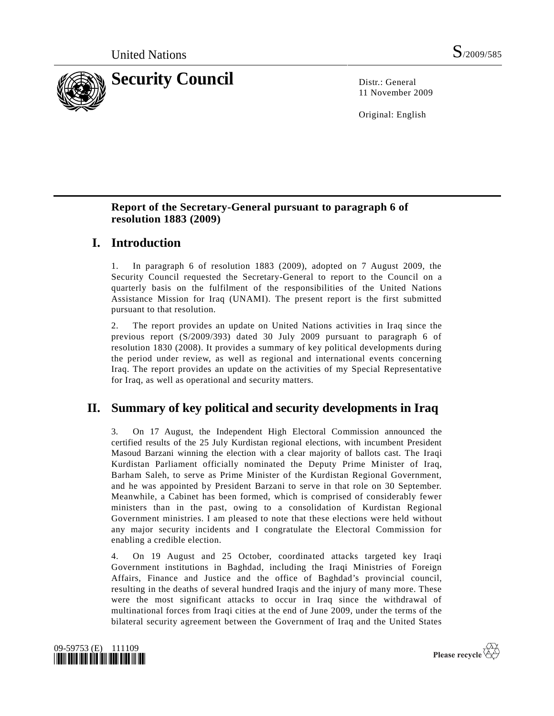

11 November 2009

Original: English

## **Report of the Secretary-General pursuant to paragraph 6 of resolution 1883 (2009)**

# **I. Introduction**

1. In paragraph 6 of resolution 1883 (2009), adopted on 7 August 2009, the Security Council requested the Secretary-General to report to the Council on a quarterly basis on the fulfilment of the responsibilities of the United Nations Assistance Mission for Iraq (UNAMI). The present report is the first submitted pursuant to that resolution.

2. The report provides an update on United Nations activities in Iraq since the previous report (S/2009/393) dated 30 July 2009 pursuant to paragraph 6 of resolution 1830 (2008). It provides a summary of key political developments during the period under review, as well as regional and international events concerning Iraq. The report provides an update on the activities of my Special Representative for Iraq, as well as operational and security matters.

# **II. Summary of key political and security developments in Iraq**

3. On 17 August, the Independent High Electoral Commission announced the certified results of the 25 July Kurdistan regional elections, with incumbent President Masoud Barzani winning the election with a clear majority of ballots cast. The Iraqi Kurdistan Parliament officially nominated the Deputy Prime Minister of Iraq, Barham Saleh, to serve as Prime Minister of the Kurdistan Regional Government, and he was appointed by President Barzani to serve in that role on 30 September. Meanwhile, a Cabinet has been formed, which is comprised of considerably fewer ministers than in the past, owing to a consolidation of Kurdistan Regional Government ministries. I am pleased to note that these elections were held without any major security incidents and I congratulate the Electoral Commission for enabling a credible election.

4. On 19 August and 25 October, coordinated attacks targeted key Iraqi Government institutions in Baghdad, including the Iraqi Ministries of Foreign Affairs, Finance and Justice and the office of Baghdad's provincial council, resulting in the deaths of several hundred Iraqis and the injury of many more. These were the most significant attacks to occur in Iraq since the withdrawal of multinational forces from Iraqi cities at the end of June 2009, under the terms of the bilateral security agreement between the Government of Iraq and the United States



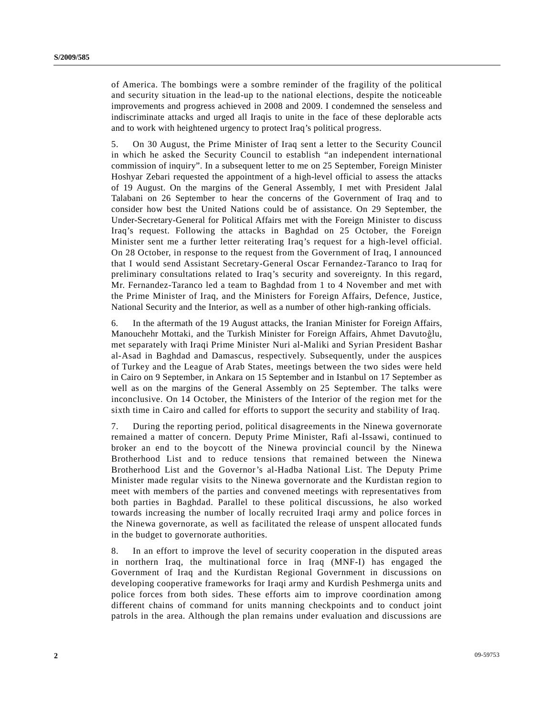of America. The bombings were a sombre reminder of the fragility of the political and security situation in the lead-up to the national elections, despite the noticeable improvements and progress achieved in 2008 and 2009. I condemned the senseless and indiscriminate attacks and urged all Iraqis to unite in the face of these deplorable acts and to work with heightened urgency to protect Iraq's political progress.

5. On 30 August, the Prime Minister of Iraq sent a letter to the Security Council in which he asked the Security Council to establish "an independent international commission of inquiry". In a subsequent letter to me on 25 September, Foreign Minister Hoshyar Zebari requested the appointment of a high-level official to assess the attacks of 19 August. On the margins of the General Assembly, I met with President Jalal Talabani on 26 September to hear the concerns of the Government of Iraq and to consider how best the United Nations could be of assistance. On 29 September, the Under-Secretary-General for Political Affairs met with the Foreign Minister to discuss Iraq's request. Following the attacks in Baghdad on 25 October, the Foreign Minister sent me a further letter reiterating Iraq's request for a high-level official. On 28 October, in response to the request from the Government of Iraq, I announced that I would send Assistant Secretary-General Oscar Fernandez-Taranco to Iraq for preliminary consultations related to Iraq's security and sovereignty. In this regard, Mr. Fernandez-Taranco led a team to Baghdad from 1 to 4 November and met with the Prime Minister of Iraq, and the Ministers for Foreign Affairs, Defence, Justice, National Security and the Interior, as well as a number of other high-ranking officials.

6. In the aftermath of the 19 August attacks, the Iranian Minister for Foreign Affairs, Manouchehr Mottaki, and the Turkish Minister for Foreign Affairs, Ahmet Davutoĝlu, met separately with Iraqi Prime Minister Nuri al-Maliki and Syrian President Bashar al-Asad in Baghdad and Damascus, respectively. Subsequently, under the auspices of Turkey and the League of Arab States, meetings between the two sides were held in Cairo on 9 September, in Ankara on 15 September and in Istanbul on 17 September as well as on the margins of the General Assembly on 25 September. The talks were inconclusive. On 14 October, the Ministers of the Interior of the region met for the sixth time in Cairo and called for efforts to support the security and stability of Iraq.

7. During the reporting period, political disagreements in the Ninewa governorate remained a matter of concern. Deputy Prime Minister, Rafi al-Issawi, continued to broker an end to the boycott of the Ninewa provincial council by the Ninewa Brotherhood List and to reduce tensions that remained between the Ninewa Brotherhood List and the Governor's al-Hadba National List. The Deputy Prime Minister made regular visits to the Ninewa governorate and the Kurdistan region to meet with members of the parties and convened meetings with representatives from both parties in Baghdad. Parallel to these political discussions, he also worked towards increasing the number of locally recruited Iraqi army and police forces in the Ninewa governorate, as well as facilitated the release of unspent allocated funds in the budget to governorate authorities.

8. In an effort to improve the level of security cooperation in the disputed areas in northern Iraq, the multinational force in Iraq (MNF-I) has engaged the Government of Iraq and the Kurdistan Regional Government in discussions on developing cooperative frameworks for Iraqi army and Kurdish Peshmerga units and police forces from both sides. These efforts aim to improve coordination among different chains of command for units manning checkpoints and to conduct joint patrols in the area. Although the plan remains under evaluation and discussions are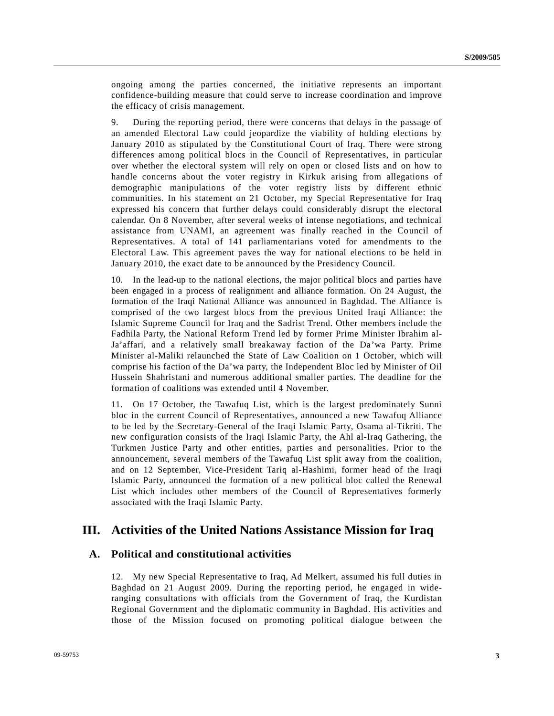ongoing among the parties concerned, the initiative represents an important confidence-building measure that could serve to increase coordination and improve the efficacy of crisis management.

9. During the reporting period, there were concerns that delays in the passage of an amended Electoral Law could jeopardize the viability of holding elections by January 2010 as stipulated by the Constitutional Court of Iraq. There were strong differences among political blocs in the Council of Representatives, in particular over whether the electoral system will rely on open or closed lists and on how to handle concerns about the voter registry in Kirkuk arising from allegations of demographic manipulations of the voter registry lists by different ethnic communities. In his statement on 21 October, my Special Representative for Iraq expressed his concern that further delays could considerably disrupt the electoral calendar. On 8 November, after several weeks of intense negotiations, and technical assistance from UNAMI, an agreement was finally reached in the Council of Representatives. A total of 141 parliamentarians voted for amendments to the Electoral Law. This agreement paves the way for national elections to be held in January 2010, the exact date to be announced by the Presidency Council.

10. In the lead-up to the national elections, the major political blocs and parties have been engaged in a process of realignment and alliance formation. On 24 August, the formation of the Iraqi National Alliance was announced in Baghdad. The Alliance is comprised of the two largest blocs from the previous United Iraqi Alliance: the Islamic Supreme Council for Iraq and the Sadrist Trend. Other members include the Fadhila Party, the National Reform Trend led by former Prime Minister Ibrahim al-Ja'affari, and a relatively small breakaway faction of the Da'wa Party. Prime Minister al-Maliki relaunched the State of Law Coalition on 1 October, which will comprise his faction of the Da'wa party, the Independent Bloc led by Minister of Oil Hussein Shahristani and numerous additional smaller parties. The deadline for the formation of coalitions was extended until 4 November.

11. On 17 October, the Tawafuq List, which is the largest predominately Sunni bloc in the current Council of Representatives, announced a new Tawafuq Alliance to be led by the Secretary-General of the Iraqi Islamic Party, Osama al-Tikriti. The new configuration consists of the Iraqi Islamic Party, the Ahl al-Iraq Gathering, the Turkmen Justice Party and other entities, parties and personalities. Prior to the announcement, several members of the Tawafuq List split away from the coalition, and on 12 September, Vice-President Tariq al-Hashimi, former head of the Iraqi Islamic Party, announced the formation of a new political bloc called the Renewal List which includes other members of the Council of Representatives formerly associated with the Iraqi Islamic Party.

## **III. Activities of the United Nations Assistance Mission for Iraq**

## **A. Political and constitutional activities**

12. My new Special Representative to Iraq, Ad Melkert, assumed his full duties in Baghdad on 21 August 2009. During the reporting period, he engaged in wideranging consultations with officials from the Government of Iraq, the Kurdistan Regional Government and the diplomatic community in Baghdad. His activities and those of the Mission focused on promoting political dialogue between the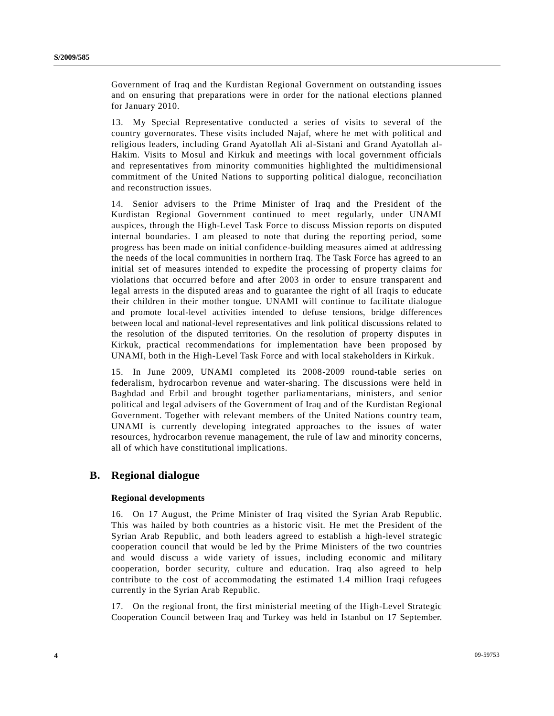Government of Iraq and the Kurdistan Regional Government on outstanding issues and on ensuring that preparations were in order for the national elections planned for January 2010.

13. My Special Representative conducted a series of visits to several of the country governorates. These visits included Najaf, where he met with political and religious leaders, including Grand Ayatollah Ali al-Sistani and Grand Ayatollah al-Hakim. Visits to Mosul and Kirkuk and meetings with local government officials and representatives from minority communities highlighted the multidimensional commitment of the United Nations to supporting political dialogue, reconciliation and reconstruction issues.

14. Senior advisers to the Prime Minister of Iraq and the President of the Kurdistan Regional Government continued to meet regularly, under UNAMI auspices, through the High-Level Task Force to discuss Mission reports on disputed internal boundaries. I am pleased to note that during the reporting period, some progress has been made on initial confidence-building measures aimed at addressing the needs of the local communities in northern Iraq. The Task Force has agreed to an initial set of measures intended to expedite the processing of property claims for violations that occurred before and after 2003 in order to ensure transparent and legal arrests in the disputed areas and to guarantee the right of all Iraqis to educate their children in their mother tongue. UNAMI will continue to facilitate dialogue and promote local-level activities intended to defuse tensions, bridge differences between local and national-level representatives and link political discussions related to the resolution of the disputed territories. On the resolution of property disputes in Kirkuk, practical recommendations for implementation have been proposed by UNAMI, both in the High-Level Task Force and with local stakeholders in Kirkuk.

15. In June 2009, UNAMI completed its 2008-2009 round-table series on federalism, hydrocarbon revenue and water-sharing. The discussions were held in Baghdad and Erbil and brought together parliamentarians, ministers, and senior political and legal advisers of the Government of Iraq and of the Kurdistan Regional Government. Together with relevant members of the United Nations country team, UNAMI is currently developing integrated approaches to the issues of water resources, hydrocarbon revenue management, the rule of law and minority concerns, all of which have constitutional implications.

## **B. Regional dialogue**

#### **Regional developments**

16. On 17 August, the Prime Minister of Iraq visited the Syrian Arab Republic. This was hailed by both countries as a historic visit. He met the President of the Syrian Arab Republic, and both leaders agreed to establish a high-level strategic cooperation council that would be led by the Prime Ministers of the two countries and would discuss a wide variety of issues, including economic and military cooperation, border security, culture and education. Iraq also agreed to help contribute to the cost of accommodating the estimated 1.4 million Iraqi refugees currently in the Syrian Arab Republic.

17. On the regional front, the first ministerial meeting of the High-Level Strategic Cooperation Council between Iraq and Turkey was held in Istanbul on 17 September.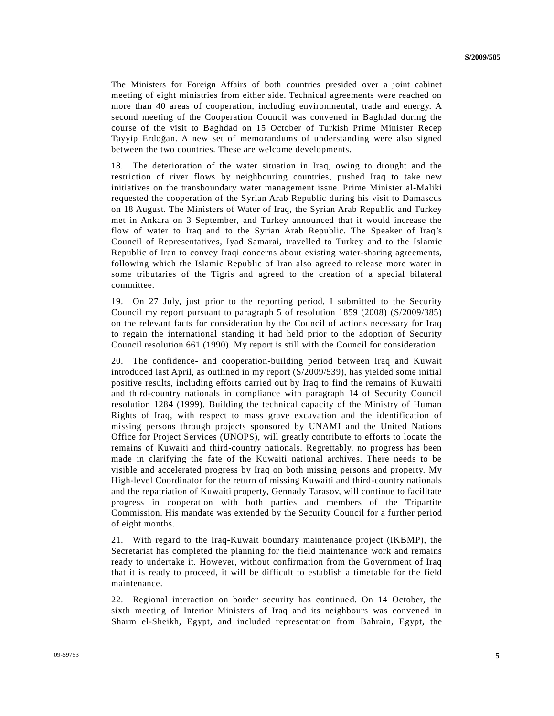The Ministers for Foreign Affairs of both countries presided over a joint cabinet meeting of eight ministries from either side. Technical agreements were reached on more than 40 areas of cooperation, including environmental, trade and energy. A second meeting of the Cooperation Council was convened in Baghdad during the course of the visit to Baghdad on 15 October of Turkish Prime Minister Recep Tayyip Erdoğan. A new set of memorandums of understanding were also signed between the two countries. These are welcome developments.

18. The deterioration of the water situation in Iraq, owing to drought and the restriction of river flows by neighbouring countries, pushed Iraq to take new initiatives on the transboundary water management issue. Prime Minister al-Maliki requested the cooperation of the Syrian Arab Republic during his visit to Damascus on 18 August. The Ministers of Water of Iraq, the Syrian Arab Republic and Turkey met in Ankara on 3 September, and Turkey announced that it would increase the flow of water to Iraq and to the Syrian Arab Republic. The Speaker of Iraq's Council of Representatives, Iyad Samarai, travelled to Turkey and to the Islamic Republic of Iran to convey Iraqi concerns about existing water-sharing agreements, following which the Islamic Republic of Iran also agreed to release more water in some tributaries of the Tigris and agreed to the creation of a special bilateral committee.

19. On 27 July, just prior to the reporting period, I submitted to the Security Council my report pursuant to paragraph 5 of resolution 1859 (2008) (S/2009/385) on the relevant facts for consideration by the Council of actions necessary for Iraq to regain the international standing it had held prior to the adoption of Security Council resolution 661 (1990). My report is still with the Council for consideration.

20. The confidence- and cooperation-building period between Iraq and Kuwait introduced last April, as outlined in my report (S/2009/539), has yielded some initial positive results, including efforts carried out by Iraq to find the remains of Kuwaiti and third-country nationals in compliance with paragraph 14 of Security Council resolution 1284 (1999). Building the technical capacity of the Ministry of Human Rights of Iraq, with respect to mass grave excavation and the identification of missing persons through projects sponsored by UNAMI and the United Nations Office for Project Services (UNOPS), will greatly contribute to efforts to locate the remains of Kuwaiti and third-country nationals. Regrettably, no progress has been made in clarifying the fate of the Kuwaiti national archives. There needs to be visible and accelerated progress by Iraq on both missing persons and property. My High-level Coordinator for the return of missing Kuwaiti and third-country nationals and the repatriation of Kuwaiti property, Gennady Tarasov, will continue to facilitate progress in cooperation with both parties and members of the Tripartite Commission. His mandate was extended by the Security Council for a further period of eight months.

21. With regard to the Iraq-Kuwait boundary maintenance project (IKBMP), the Secretariat has completed the planning for the field maintenance work and remains ready to undertake it. However, without confirmation from the Government of Iraq that it is ready to proceed, it will be difficult to establish a timetable for the field maintenance.

22. Regional interaction on border security has continued. On 14 October, the sixth meeting of Interior Ministers of Iraq and its neighbours was convened in Sharm el-Sheikh, Egypt, and included representation from Bahrain, Egypt, the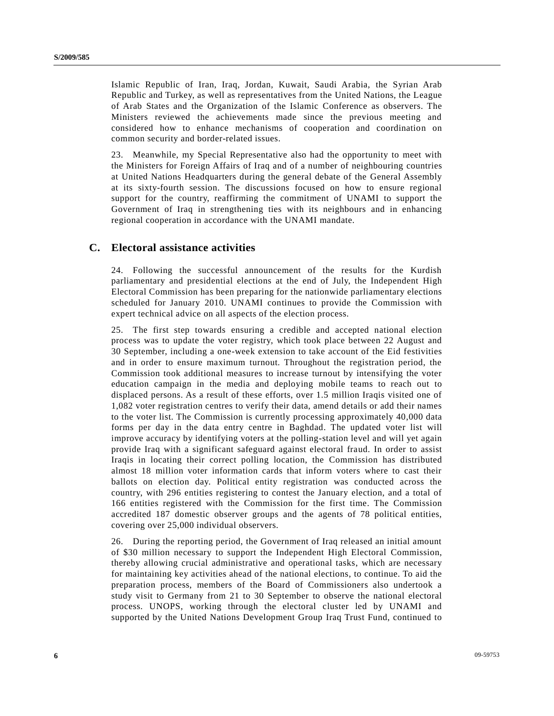Islamic Republic of Iran, Iraq, Jordan, Kuwait, Saudi Arabia, the Syrian Arab Republic and Turkey, as well as representatives from the United Nations, the League of Arab States and the Organization of the Islamic Conference as observers. The Ministers reviewed the achievements made since the previous meeting and considered how to enhance mechanisms of cooperation and coordination on common security and border-related issues.

23. Meanwhile, my Special Representative also had the opportunity to meet with the Ministers for Foreign Affairs of Iraq and of a number of neighbouring countries at United Nations Headquarters during the general debate of the General Assembly at its sixty-fourth session. The discussions focused on how to ensure regional support for the country, reaffirming the commitment of UNAMI to support the Government of Iraq in strengthening ties with its neighbours and in enhancing regional cooperation in accordance with the UNAMI mandate.

## **C. Electoral assistance activities**

24. Following the successful announcement of the results for the Kurdish parliamentary and presidential elections at the end of July, the Independent High Electoral Commission has been preparing for the nationwide parliamentary elections scheduled for January 2010. UNAMI continues to provide the Commission with expert technical advice on all aspects of the election process.

25. The first step towards ensuring a credible and accepted national election process was to update the voter registry, which took place between 22 August and 30 September, including a one-week extension to take account of the Eid festivities and in order to ensure maximum turnout. Throughout the registration period, the Commission took additional measures to increase turnout by intensifying the voter education campaign in the media and deploying mobile teams to reach out to displaced persons. As a result of these efforts, over 1.5 million Iraqis visited one of 1,082 voter registration centres to verify their data, amend details or add their names to the voter list. The Commission is currently processing approximately 40,000 data forms per day in the data entry centre in Baghdad. The updated voter list will improve accuracy by identifying voters at the polling-station level and will yet again provide Iraq with a significant safeguard against electoral fraud. In order to assist Iraqis in locating their correct polling location, the Commission has distributed almost 18 million voter information cards that inform voters where to cast their ballots on election day. Political entity registration was conducted across the country, with 296 entities registering to contest the January election, and a total of 166 entities registered with the Commission for the first time. The Commission accredited 187 domestic observer groups and the agents of 78 political entities, covering over 25,000 individual observers.

26. During the reporting period, the Government of Iraq released an initial amount of \$30 million necessary to support the Independent High Electoral Commission, thereby allowing crucial administrative and operational tasks, which are necessary for maintaining key activities ahead of the national elections, to continue. To aid the preparation process, members of the Board of Commissioners also undertook a study visit to Germany from 21 to 30 September to observe the national electoral process. UNOPS, working through the electoral cluster led by UNAMI and supported by the United Nations Development Group Iraq Trust Fund, continued to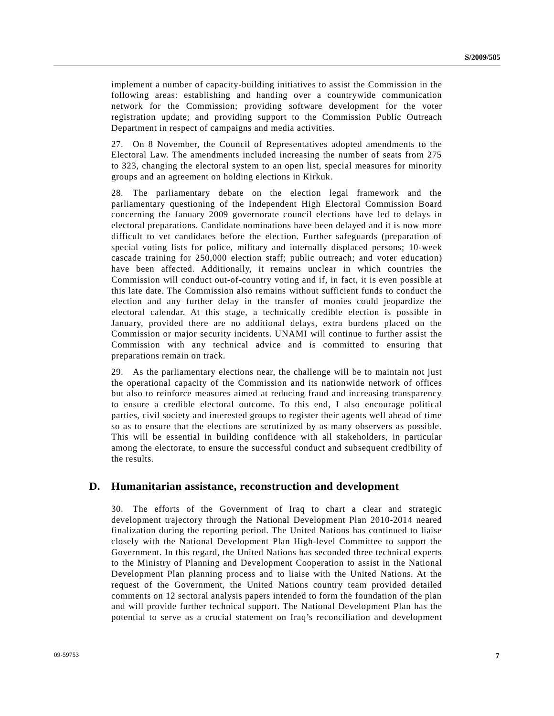implement a number of capacity-building initiatives to assist the Commission in the following areas: establishing and handing over a countrywide communication network for the Commission; providing software development for the voter registration update; and providing support to the Commission Public Outreach Department in respect of campaigns and media activities.

27. On 8 November, the Council of Representatives adopted amendments to the Electoral Law. The amendments included increasing the number of seats from 275 to 323, changing the electoral system to an open list, special measures for minority groups and an agreement on holding elections in Kirkuk.

28. The parliamentary debate on the election legal framework and the parliamentary questioning of the Independent High Electoral Commission Board concerning the January 2009 governorate council elections have led to delays in electoral preparations. Candidate nominations have been delayed and it is now more difficult to vet candidates before the election. Further safeguards (preparation of special voting lists for police, military and internally displaced persons; 10-week cascade training for 250,000 election staff; public outreach; and voter education) have been affected. Additionally, it remains unclear in which countries the Commission will conduct out-of-country voting and if, in fact, it is even possible at this late date. The Commission also remains without sufficient funds to conduct the election and any further delay in the transfer of monies could jeopardize the electoral calendar. At this stage, a technically credible election is possible in January, provided there are no additional delays, extra burdens placed on the Commission or major security incidents. UNAMI will continue to further assist the Commission with any technical advice and is committed to ensuring that preparations remain on track.

29. As the parliamentary elections near, the challenge will be to maintain not just the operational capacity of the Commission and its nationwide network of offices but also to reinforce measures aimed at reducing fraud and increasing transparency to ensure a credible electoral outcome. To this end, I also encourage political parties, civil society and interested groups to register their agents well ahead of time so as to ensure that the elections are scrutinized by as many observers as possible. This will be essential in building confidence with all stakeholders, in particular among the electorate, to ensure the successful conduct and subsequent credibility of the results.

## **D. Humanitarian assistance, reconstruction and development**

30. The efforts of the Government of Iraq to chart a clear and strategic development trajectory through the National Development Plan 2010-2014 neared finalization during the reporting period. The United Nations has continued to liaise closely with the National Development Plan High-level Committee to support the Government. In this regard, the United Nations has seconded three technical experts to the Ministry of Planning and Development Cooperation to assist in the National Development Plan planning process and to liaise with the United Nations. At the request of the Government, the United Nations country team provided detailed comments on 12 sectoral analysis papers intended to form the foundation of the plan and will provide further technical support. The National Development Plan has the potential to serve as a crucial statement on Iraq's reconciliation and development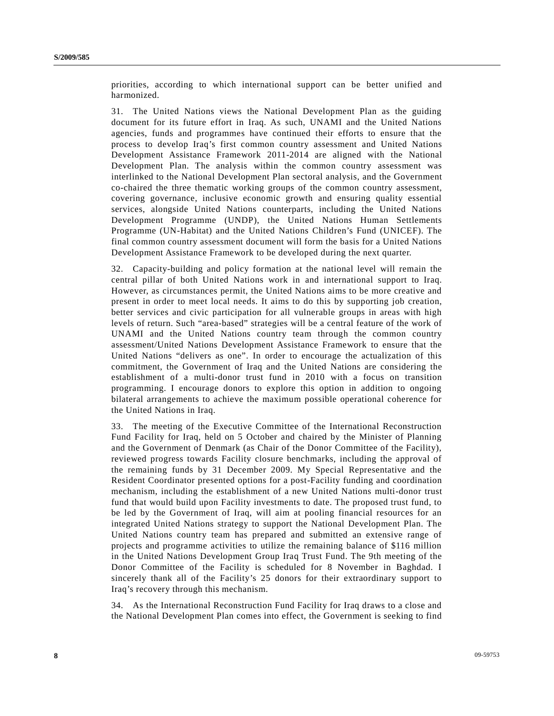priorities, according to which international support can be better unified and harmonized.

31. The United Nations views the National Development Plan as the guiding document for its future effort in Iraq. As such, UNAMI and the United Nations agencies, funds and programmes have continued their efforts to ensure that the process to develop Iraq's first common country assessment and United Nations Development Assistance Framework 2011-2014 are aligned with the National Development Plan. The analysis within the common country assessment was interlinked to the National Development Plan sectoral analysis, and the Government co-chaired the three thematic working groups of the common country assessment, covering governance, inclusive economic growth and ensuring quality essential services, alongside United Nations counterparts, including the United Nations Development Programme (UNDP), the United Nations Human Settlements Programme (UN-Habitat) and the United Nations Children's Fund (UNICEF). The final common country assessment document will form the basis for a United Nations Development Assistance Framework to be developed during the next quarter.

32. Capacity-building and policy formation at the national level will remain the central pillar of both United Nations work in and international support to Iraq. However, as circumstances permit, the United Nations aims to be more creative and present in order to meet local needs. It aims to do this by supporting job creation, better services and civic participation for all vulnerable groups in areas with high levels of return. Such "area-based" strategies will be a central feature of the work of UNAMI and the United Nations country team through the common country assessment/United Nations Development Assistance Framework to ensure that the United Nations "delivers as one". In order to encourage the actualization of this commitment, the Government of Iraq and the United Nations are considering the establishment of a multi-donor trust fund in 2010 with a focus on transition programming. I encourage donors to explore this option in addition to ongoing bilateral arrangements to achieve the maximum possible operational coherence for the United Nations in Iraq.

33. The meeting of the Executive Committee of the International Reconstruction Fund Facility for Iraq, held on 5 October and chaired by the Minister of Planning and the Government of Denmark (as Chair of the Donor Committee of the Facility), reviewed progress towards Facility closure benchmarks, including the approval of the remaining funds by 31 December 2009. My Special Representative and the Resident Coordinator presented options for a post-Facility funding and coordination mechanism, including the establishment of a new United Nations multi-donor trust fund that would build upon Facility investments to date. The proposed trust fund, to be led by the Government of Iraq, will aim at pooling financial resources for an integrated United Nations strategy to support the National Development Plan. The United Nations country team has prepared and submitted an extensive range of projects and programme activities to utilize the remaining balance of \$116 million in the United Nations Development Group Iraq Trust Fund. The 9th meeting of the Donor Committee of the Facility is scheduled for 8 November in Baghdad. I sincerely thank all of the Facility's 25 donors for their extraordinary support to Iraq's recovery through this mechanism.

34. As the International Reconstruction Fund Facility for Iraq draws to a close and the National Development Plan comes into effect, the Government is seeking to find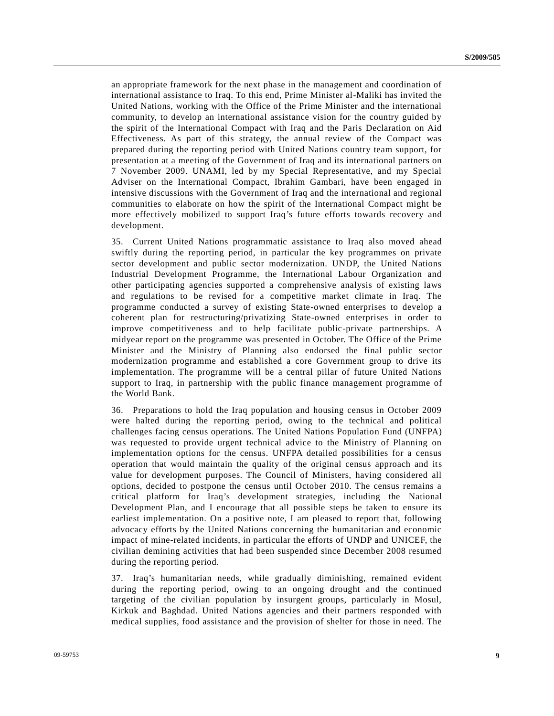an appropriate framework for the next phase in the management and coordination of international assistance to Iraq. To this end, Prime Minister al-Maliki has invited the United Nations, working with the Office of the Prime Minister and the international community, to develop an international assistance vision for the country guided by the spirit of the International Compact with Iraq and the Paris Declaration on Aid Effectiveness. As part of this strategy, the annual review of the Compact was prepared during the reporting period with United Nations country team support, for presentation at a meeting of the Government of Iraq and its international partners on 7 November 2009. UNAMI, led by my Special Representative, and my Special Adviser on the International Compact, Ibrahim Gambari, have been engaged in intensive discussions with the Government of Iraq and the international and regional communities to elaborate on how the spirit of the International Compact might be more effectively mobilized to support Iraq's future efforts towards recovery and development.

35. Current United Nations programmatic assistance to Iraq also moved ahead swiftly during the reporting period, in particular the key programmes on private sector development and public sector modernization. UNDP, the United Nations Industrial Development Programme, the International Labour Organization and other participating agencies supported a comprehensive analysis of existing laws and regulations to be revised for a competitive market climate in Iraq. The programme conducted a survey of existing State-owned enterprises to develop a coherent plan for restructuring/privatizing State-owned enterprises in order to improve competitiveness and to help facilitate public-private partnerships. A midyear report on the programme was presented in October. The Office of the Prime Minister and the Ministry of Planning also endorsed the final public sector modernization programme and established a core Government group to drive its implementation. The programme will be a central pillar of future United Nations support to Iraq, in partnership with the public finance management programme of the World Bank.

36. Preparations to hold the Iraq population and housing census in October 2009 were halted during the reporting period, owing to the technical and political challenges facing census operations. The United Nations Population Fund (UNFPA) was requested to provide urgent technical advice to the Ministry of Planning on implementation options for the census. UNFPA detailed possibilities for a census operation that would maintain the quality of the original census approach and its value for development purposes. The Council of Ministers, having considered all options, decided to postpone the census until October 2010. The census remains a critical platform for Iraq's development strategies, including the National Development Plan, and I encourage that all possible steps be taken to ensure its earliest implementation. On a positive note, I am pleased to report that, following advocacy efforts by the United Nations concerning the humanitarian and economic impact of mine-related incidents, in particular the efforts of UNDP and UNICEF, the civilian demining activities that had been suspended since December 2008 resumed during the reporting period.

37. Iraq's humanitarian needs, while gradually diminishing, remained evident during the reporting period, owing to an ongoing drought and the continued targeting of the civilian population by insurgent groups, particularly in Mosul, Kirkuk and Baghdad. United Nations agencies and their partners responded with medical supplies, food assistance and the provision of shelter for those in need. The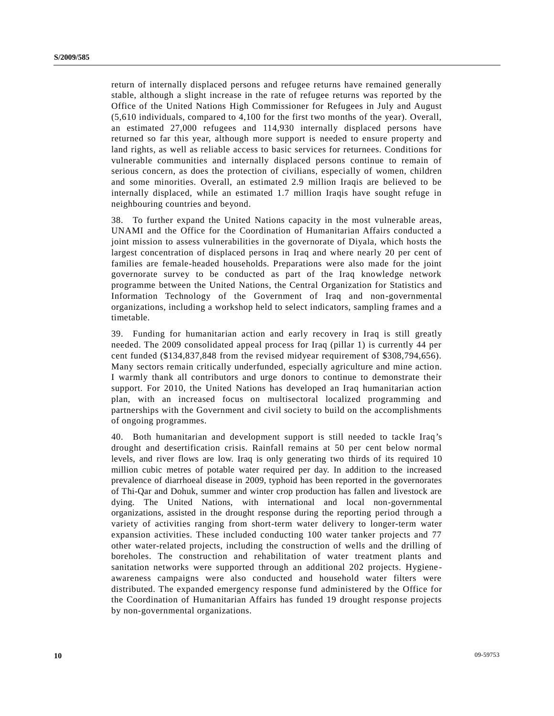return of internally displaced persons and refugee returns have remained generally stable, although a slight increase in the rate of refugee returns was reported by the Office of the United Nations High Commissioner for Refugees in July and August (5,610 individuals, compared to 4,100 for the first two months of the year). Overall, an estimated 27,000 refugees and 114,930 internally displaced persons have returned so far this year, although more support is needed to ensure property and land rights, as well as reliable access to basic services for returnees. Conditions for vulnerable communities and internally displaced persons continue to remain of serious concern, as does the protection of civilians, especially of women, children and some minorities. Overall, an estimated 2.9 million Iraqis are believed to be internally displaced, while an estimated 1.7 million Iraqis have sought refuge in neighbouring countries and beyond.

38. To further expand the United Nations capacity in the most vulnerable areas, UNAMI and the Office for the Coordination of Humanitarian Affairs conducted a joint mission to assess vulnerabilities in the governorate of Diyala, which hosts the largest concentration of displaced persons in Iraq and where nearly 20 per cent of families are female-headed households. Preparations were also made for the joint governorate survey to be conducted as part of the Iraq knowledge network programme between the United Nations, the Central Organization for Statistics and Information Technology of the Government of Iraq and non-governmental organizations, including a workshop held to select indicators, sampling frames and a timetable.

39. Funding for humanitarian action and early recovery in Iraq is still greatly needed. The 2009 consolidated appeal process for Iraq (pillar 1) is currently 44 per cent funded (\$134,837,848 from the revised midyear requirement of \$308,794,656). Many sectors remain critically underfunded, especially agriculture and mine action. I warmly thank all contributors and urge donors to continue to demonstrate their support. For 2010, the United Nations has developed an Iraq humanitarian action plan, with an increased focus on multisectoral localized programming and partnerships with the Government and civil society to build on the accomplishments of ongoing programmes.

40. Both humanitarian and development support is still needed to tackle Iraq's drought and desertification crisis. Rainfall remains at 50 per cent below normal levels, and river flows are low. Iraq is only generating two thirds of its required 10 million cubic metres of potable water required per day. In addition to the increased prevalence of diarrhoeal disease in 2009, typhoid has been reported in the governorates of Thi-Qar and Dohuk, summer and winter crop production has fallen and livestock are dying. The United Nations, with international and local non-governmental organizations, assisted in the drought response during the reporting period through a variety of activities ranging from short-term water delivery to longer-term water expansion activities. These included conducting 100 water tanker projects and 77 other water-related projects, including the construction of wells and the drilling of boreholes. The construction and rehabilitation of water treatment plants and sanitation networks were supported through an additional 202 projects. Hygiene awareness campaigns were also conducted and household water filters were distributed. The expanded emergency response fund administered by the Office for the Coordination of Humanitarian Affairs has funded 19 drought response projects by non-governmental organizations.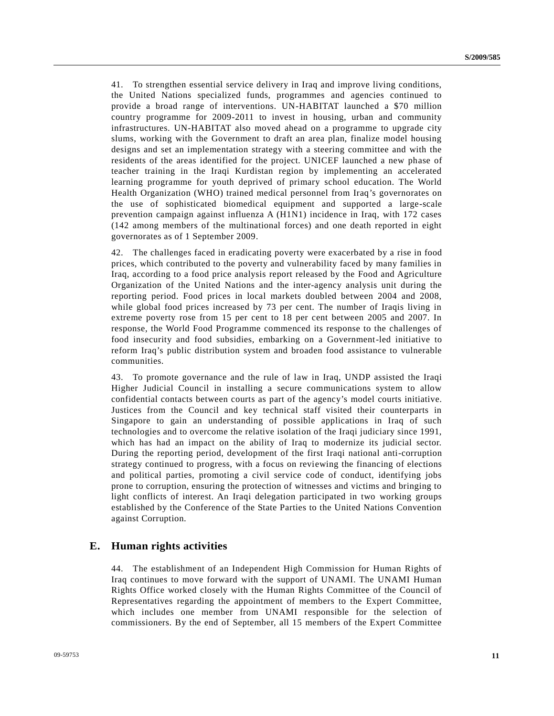41. To strengthen essential service delivery in Iraq and improve living conditions, the United Nations specialized funds, programmes and agencies continued to provide a broad range of interventions. UN-HABITAT launched a \$70 million country programme for 2009-2011 to invest in housing, urban and community infrastructures. UN-HABITAT also moved ahead on a programme to upgrade city slums, working with the Government to draft an area plan, finalize model housing designs and set an implementation strategy with a steering committee and with the residents of the areas identified for the project. UNICEF launched a new phase of teacher training in the Iraqi Kurdistan region by implementing an accelerated learning programme for youth deprived of primary school education. The World Health Organization (WHO) trained medical personnel from Iraq's governorates on the use of sophisticated biomedical equipment and supported a large-scale prevention campaign against influenza A (H1N1) incidence in Iraq, with 172 cases (142 among members of the multinational forces) and one death reported in eight governorates as of 1 September 2009.

42. The challenges faced in eradicating poverty were exacerbated by a rise in food prices, which contributed to the poverty and vulnerability faced by many families in Iraq, according to a food price analysis report released by the Food and Agriculture Organization of the United Nations and the inter-agency analysis unit during the reporting period. Food prices in local markets doubled between 2004 and 2008, while global food prices increased by 73 per cent. The number of Iraqis living in extreme poverty rose from 15 per cent to 18 per cent between 2005 and 2007. In response, the World Food Programme commenced its response to the challenges of food insecurity and food subsidies, embarking on a Government-led initiative to reform Iraq's public distribution system and broaden food assistance to vulnerable communities.

43. To promote governance and the rule of law in Iraq, UNDP assisted the Iraqi Higher Judicial Council in installing a secure communications system to allow confidential contacts between courts as part of the agency's model courts initiative. Justices from the Council and key technical staff visited their counterparts in Singapore to gain an understanding of possible applications in Iraq of such technologies and to overcome the relative isolation of the Iraqi judiciary since 1991, which has had an impact on the ability of Iraq to modernize its judicial sector. During the reporting period, development of the first Iraqi national anti-corruption strategy continued to progress, with a focus on reviewing the financing of elections and political parties, promoting a civil service code of conduct, identifying jobs prone to corruption, ensuring the protection of witnesses and victims and bringing to light conflicts of interest. An Iraqi delegation participated in two working groups established by the Conference of the State Parties to the United Nations Convention against Corruption.

## **E. Human rights activities**

44. The establishment of an Independent High Commission for Human Rights of Iraq continues to move forward with the support of UNAMI. The UNAMI Human Rights Office worked closely with the Human Rights Committee of the Council of Representatives regarding the appointment of members to the Expert Committee, which includes one member from UNAMI responsible for the selection of commissioners. By the end of September, all 15 members of the Expert Committee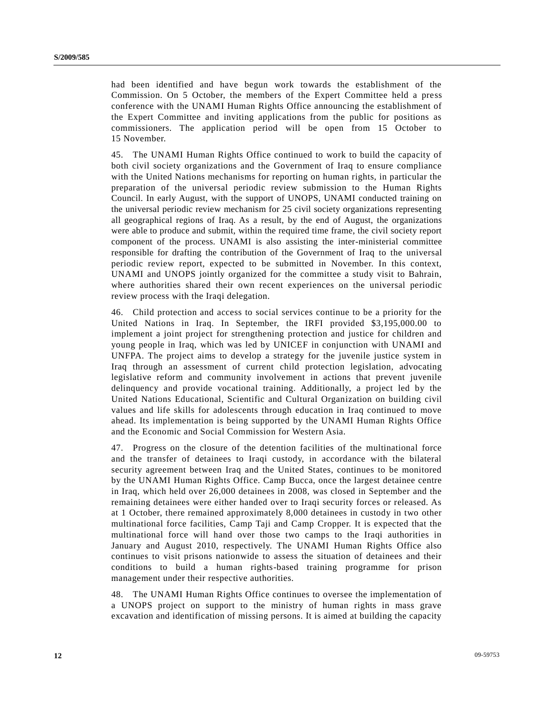had been identified and have begun work towards the establishment of the Commission. On 5 October, the members of the Expert Committee held a press conference with the UNAMI Human Rights Office announcing the establishment of the Expert Committee and inviting applications from the public for positions as commissioners. The application period will be open from 15 October to 15 November.

45. The UNAMI Human Rights Office continued to work to build the capacity of both civil society organizations and the Government of Iraq to ensure compliance with the United Nations mechanisms for reporting on human rights, in particular the preparation of the universal periodic review submission to the Human Rights Council. In early August, with the support of UNOPS, UNAMI conducted training on the universal periodic review mechanism for 25 civil society organizations representing all geographical regions of Iraq. As a result, by the end of August, the organizations were able to produce and submit, within the required time frame, the civil society report component of the process. UNAMI is also assisting the inter-ministerial committee responsible for drafting the contribution of the Government of Iraq to the universal periodic review report, expected to be submitted in November. In this context, UNAMI and UNOPS jointly organized for the committee a study visit to Bahrain, where authorities shared their own recent experiences on the universal periodic review process with the Iraqi delegation.

46. Child protection and access to social services continue to be a priority for the United Nations in Iraq. In September, the IRFI provided \$3,195,000.00 to implement a joint project for strengthening protection and justice for children and young people in Iraq, which was led by UNICEF in conjunction with UNAMI and UNFPA. The project aims to develop a strategy for the juvenile justice system in Iraq through an assessment of current child protection legislation, advocating legislative reform and community involvement in actions that prevent juvenile delinquency and provide vocational training. Additionally, a project led by the United Nations Educational, Scientific and Cultural Organization on building civil values and life skills for adolescents through education in Iraq continued to move ahead. Its implementation is being supported by the UNAMI Human Rights Office and the Economic and Social Commission for Western Asia.

47. Progress on the closure of the detention facilities of the multinational force and the transfer of detainees to Iraqi custody, in accordance with the bilateral security agreement between Iraq and the United States, continues to be monitored by the UNAMI Human Rights Office. Camp Bucca, once the largest detainee centre in Iraq, which held over 26,000 detainees in 2008, was closed in September and the remaining detainees were either handed over to Iraqi security forces or released. As at 1 October, there remained approximately 8,000 detainees in custody in two other multinational force facilities, Camp Taji and Camp Cropper. It is expected that the multinational force will hand over those two camps to the Iraqi authorities in January and August 2010, respectively. The UNAMI Human Rights Office also continues to visit prisons nationwide to assess the situation of detainees and their conditions to build a human rights-based training programme for prison management under their respective authorities.

48. The UNAMI Human Rights Office continues to oversee the implementation of a UNOPS project on support to the ministry of human rights in mass grave excavation and identification of missing persons. It is aimed at building the capacity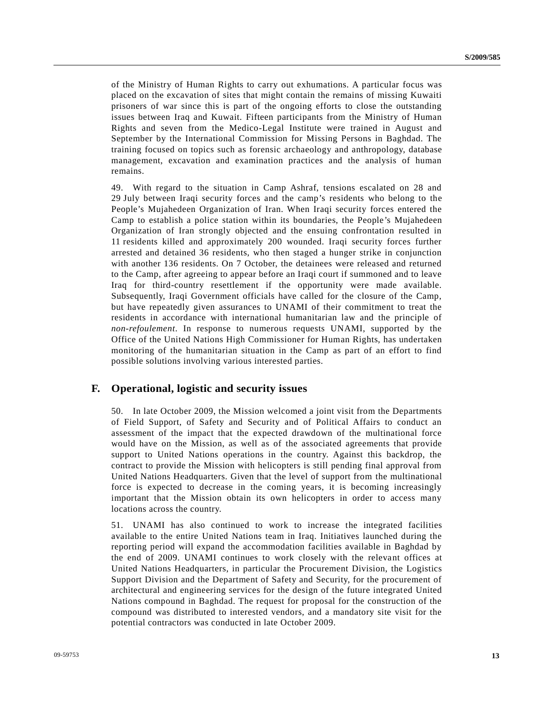of the Ministry of Human Rights to carry out exhumations. A particular focus was placed on the excavation of sites that might contain the remains of missing Kuwaiti prisoners of war since this is part of the ongoing efforts to close the outstanding issues between Iraq and Kuwait. Fifteen participants from the Ministry of Human Rights and seven from the Medico-Legal Institute were trained in August and September by the International Commission for Missing Persons in Baghdad. The training focused on topics such as forensic archaeology and anthropology, database management, excavation and examination practices and the analysis of human remains.

49. With regard to the situation in Camp Ashraf, tensions escalated on 28 and 29 July between Iraqi security forces and the camp's residents who belong to the People's Mujahedeen Organization of Iran. When Iraqi security forces entered the Camp to establish a police station within its boundaries, the People's Mujahedeen Organization of Iran strongly objected and the ensuing confrontation resulted in 11 residents killed and approximately 200 wounded. Iraqi security forces further arrested and detained 36 residents, who then staged a hunger strike in conjunction with another 136 residents. On 7 October, the detainees were released and returned to the Camp, after agreeing to appear before an Iraqi court if summoned and to leave Iraq for third-country resettlement if the opportunity were made available. Subsequently, Iraqi Government officials have called for the closure of the Camp, but have repeatedly given assurances to UNAMI of their commitment to treat the residents in accordance with international humanitarian law and the principle of *non-refoulement*. In response to numerous requests UNAMI, supported by the Office of the United Nations High Commissioner for Human Rights, has undertaken monitoring of the humanitarian situation in the Camp as part of an effort to find possible solutions involving various interested parties.

## **F. Operational, logistic and security issues**

50. In late October 2009, the Mission welcomed a joint visit from the Departments of Field Support, of Safety and Security and of Political Affairs to conduct an assessment of the impact that the expected drawdown of the multinational force would have on the Mission, as well as of the associated agreements that provide support to United Nations operations in the country. Against this backdrop, the contract to provide the Mission with helicopters is still pending final approval from United Nations Headquarters. Given that the level of support from the multinational force is expected to decrease in the coming years, it is becoming increasingly important that the Mission obtain its own helicopters in order to access many locations across the country.

51. UNAMI has also continued to work to increase the integrated facilities available to the entire United Nations team in Iraq. Initiatives launched during the reporting period will expand the accommodation facilities available in Baghdad by the end of 2009. UNAMI continues to work closely with the relevant offices at United Nations Headquarters, in particular the Procurement Division, the Logistics Support Division and the Department of Safety and Security, for the procurement of architectural and engineering services for the design of the future integrated United Nations compound in Baghdad. The request for proposal for the construction of the compound was distributed to interested vendors, and a mandatory site visit for the potential contractors was conducted in late October 2009.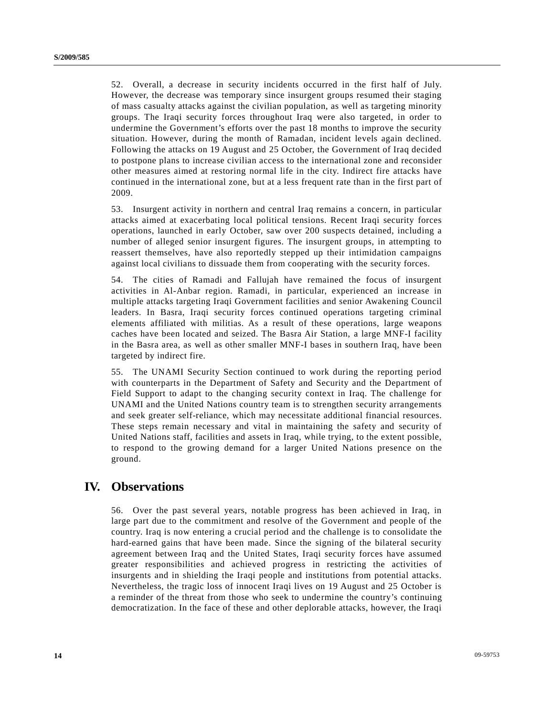52. Overall, a decrease in security incidents occurred in the first half of July. However, the decrease was temporary since insurgent groups resumed their staging of mass casualty attacks against the civilian population, as well as targeting minority groups. The Iraqi security forces throughout Iraq were also targeted, in order to undermine the Government's efforts over the past 18 months to improve the security situation. However, during the month of Ramadan, incident levels again declined. Following the attacks on 19 August and 25 October, the Government of Iraq decided to postpone plans to increase civilian access to the international zone and reconsider other measures aimed at restoring normal life in the city. Indirect fire attacks have continued in the international zone, but at a less frequent rate than in the first part of 2009.

53. Insurgent activity in northern and central Iraq remains a concern, in particular attacks aimed at exacerbating local political tensions. Recent Iraqi security forces operations, launched in early October, saw over 200 suspects detained, including a number of alleged senior insurgent figures. The insurgent groups, in attempting to reassert themselves, have also reportedly stepped up their intimidation campaigns against local civilians to dissuade them from cooperating with the security forces.

54. The cities of Ramadi and Fallujah have remained the focus of insurgent activities in Al-Anbar region. Ramadi, in particular, experienced an increase in multiple attacks targeting Iraqi Government facilities and senior Awakening Council leaders. In Basra, Iraqi security forces continued operations targeting criminal elements affiliated with militias. As a result of these operations, large weapons caches have been located and seized. The Basra Air Station, a large MNF-I facility in the Basra area, as well as other smaller MNF-I bases in southern Iraq, have been targeted by indirect fire.

55. The UNAMI Security Section continued to work during the reporting period with counterparts in the Department of Safety and Security and the Department of Field Support to adapt to the changing security context in Iraq. The challenge for UNAMI and the United Nations country team is to strengthen security arrangements and seek greater self-reliance, which may necessitate additional financial resources. These steps remain necessary and vital in maintaining the safety and security of United Nations staff, facilities and assets in Iraq, while trying, to the extent possible, to respond to the growing demand for a larger United Nations presence on the ground.

# **IV. Observations**

56. Over the past several years, notable progress has been achieved in Iraq, in large part due to the commitment and resolve of the Government and people of the country. Iraq is now entering a crucial period and the challenge is to consolidate the hard-earned gains that have been made. Since the signing of the bilateral security agreement between Iraq and the United States, Iraqi security forces have assumed greater responsibilities and achieved progress in restricting the activities of insurgents and in shielding the Iraqi people and institutions from potential attacks. Nevertheless, the tragic loss of innocent Iraqi lives on 19 August and 25 October is a reminder of the threat from those who seek to undermine the country's continuing democratization. In the face of these and other deplorable attacks, however, the Iraqi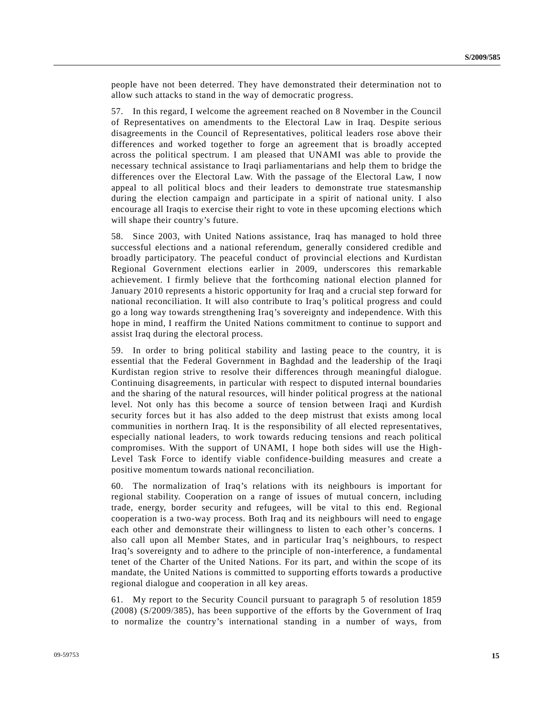people have not been deterred. They have demonstrated their determination not to allow such attacks to stand in the way of democratic progress.

57. In this regard, I welcome the agreement reached on 8 November in the Council of Representatives on amendments to the Electoral Law in Iraq. Despite serious disagreements in the Council of Representatives, political leaders rose above their differences and worked together to forge an agreement that is broadly accepted across the political spectrum. I am pleased that UNAMI was able to provide the necessary technical assistance to Iraqi parliamentarians and help them to bridge the differences over the Electoral Law. With the passage of the Electoral Law, I now appeal to all political blocs and their leaders to demonstrate true statesmanship during the election campaign and participate in a spirit of national unity. I also encourage all Iraqis to exercise their right to vote in these upcoming elections which will shape their country's future.

58. Since 2003, with United Nations assistance, Iraq has managed to hold three successful elections and a national referendum, generally considered credible and broadly participatory. The peaceful conduct of provincial elections and Kurdistan Regional Government elections earlier in 2009, underscores this remarkable achievement. I firmly believe that the forthcoming national election planned for January 2010 represents a historic opportunity for Iraq and a crucial step forward for national reconciliation. It will also contribute to Iraq's political progress and could go a long way towards strengthening Iraq's sovereignty and independence. With this hope in mind, I reaffirm the United Nations commitment to continue to support and assist Iraq during the electoral process.

59. In order to bring political stability and lasting peace to the country, it is essential that the Federal Government in Baghdad and the leadership of the Iraqi Kurdistan region strive to resolve their differences through meaningful dialogue. Continuing disagreements, in particular with respect to disputed internal boundaries and the sharing of the natural resources, will hinder political progress at the national level. Not only has this become a source of tension between Iraqi and Kurdish security forces but it has also added to the deep mistrust that exists among local communities in northern Iraq. It is the responsibility of all elected representatives, especially national leaders, to work towards reducing tensions and reach political compromises. With the support of UNAMI, I hope both sides will use the High-Level Task Force to identify viable confidence-building measures and create a positive momentum towards national reconciliation.

60. The normalization of Iraq's relations with its neighbours is important for regional stability. Cooperation on a range of issues of mutual concern, including trade, energy, border security and refugees, will be vital to this end. Regional cooperation is a two-way process. Both Iraq and its neighbours will need to engage each other and demonstrate their willingness to listen to each other's concerns. I also call upon all Member States, and in particular Iraq's neighbours, to respect Iraq's sovereignty and to adhere to the principle of non-interference, a fundamental tenet of the Charter of the United Nations. For its part, and within the scope of its mandate, the United Nations is committed to supporting efforts towards a productive regional dialogue and cooperation in all key areas.

61. My report to the Security Council pursuant to paragraph 5 of resolution 1859 (2008) (S/2009/385), has been supportive of the efforts by the Government of Iraq to normalize the country's international standing in a number of ways, from